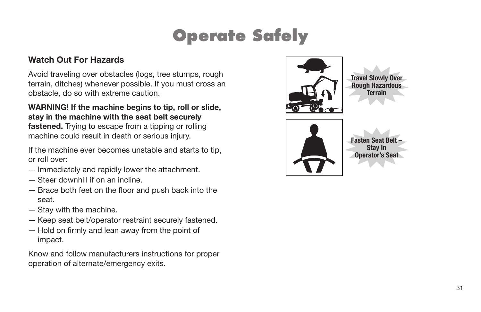#### **Watch Out For Hazards**

Avoid traveling over obstacles (logs, tree stumps, rough terrain, ditches) whenever possible. If you must cross an obstacle, do so with extreme caution.

**WARNING! If the machine begins to tip, roll or slide, stay in the machine with the seat belt securely fastened.** Trying to escape from a tipping or rolling machine could result in death or serious injury.

If the machine ever becomes unstable and starts to tip, or roll over:

- Immediately and rapidly lower the attachment.
- Steer downhill if on an incline.
- $-$  Brace both feet on the floor and push back into the seat.
- Stay with the machine.
- Keep seat belt/operator restraint securely fastened.
- $-$  Hold on firmly and lean away from the point of impact.

Know and follow manufacturers instructions for proper operation of alternate/emergency exits.



**Travel Slowly Over Rough Hazardous Terrain**

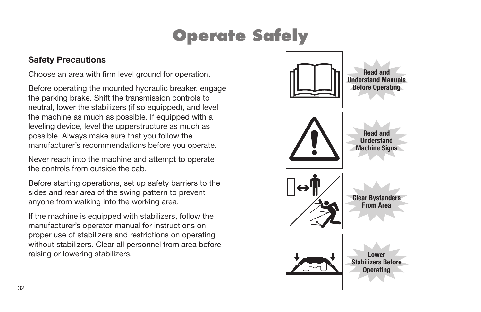#### **Safety Precautions**

Choose an area with firm level ground for operation.

Before operating the mounted hydraulic breaker, engage the parking brake. Shift the transmission controls to neutral, lower the stabilizers (if so equipped), and level the machine as much as possible. If equipped with a leveling device, level the upperstructure as much as possible. Always make sure that you follow the manufacturer's recommendations before you operate.

Never reach into the machine and attempt to operate the controls from outside the cab.

Before starting operations, set up safety barriers to the sides and rear area of the swing pattern to prevent anyone from walking into the working area.

If the machine is equipped with stabilizers, follow the manufacturer's operator manual for instructions on proper use of stabilizers and restrictions on operating without stabilizers. Clear all personnel from area before raising or lowering stabilizers.

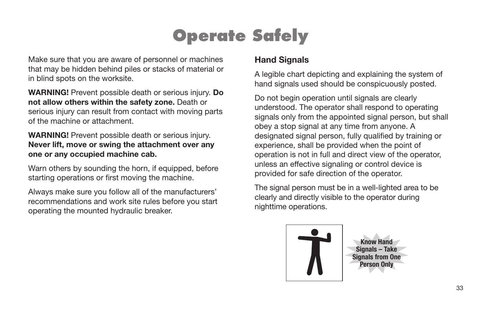Make sure that you are aware of personnel or machines that may be hidden behind piles or stacks of material or in blind spots on the worksite.

**WARNING!** Prevent possible death or serious injury. **Do not allow others within the safety zone.** Death or serious injury can result from contact with moving parts of the machine or attachment.

**WARNING!** Prevent possible death or serious injury. **Never lift, move or swing the attachment over any one or any occupied machine cab.**

Warn others by sounding the horn, if equipped, before starting operations or first moving the machine.

Always make sure you follow all of the manufacturers' recommendations and work site rules before you start operating the mounted hydraulic breaker.

#### **Hand Signals**

A legible chart depicting and explaining the system of hand signals used should be conspicuously posted.

Do not begin operation until signals are clearly understood. The operator shall respond to operating signals only from the appointed signal person, but shall obey a stop signal at any time from anyone. A designated signal person, fully qualified by training or experience, shall be provided when the point of operation is not in full and direct view of the operator, unless an effective signaling or control device is provided for safe direction of the operator.

The signal person must be in a well-lighted area to be clearly and directly visible to the operator during nighttime operations.



**Know Hand Signals – Take Signals from One Person Only**